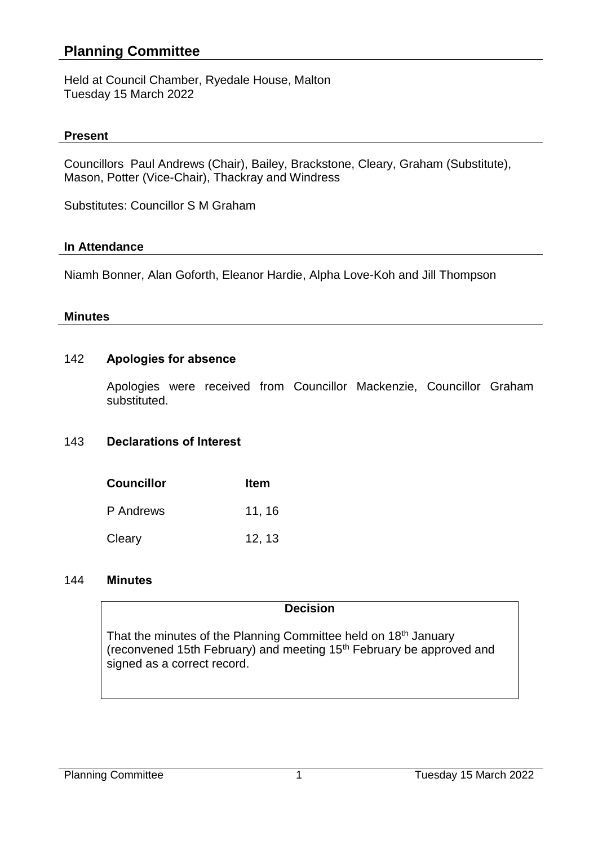# **Planning Committee**

Held at Council Chamber, Ryedale House, Malton Tuesday 15 March 2022

### **Present**

Councillors Paul Andrews (Chair), Bailey, Brackstone, Cleary, Graham (Substitute), Mason, Potter (Vice-Chair), Thackray and Windress

Substitutes: Councillor S M Graham

### **In Attendance**

Niamh Bonner, Alan Goforth, Eleanor Hardie, Alpha Love-Koh and Jill Thompson

#### **Minutes**

# 142 **Apologies for absence**

Apologies were received from Councillor Mackenzie, Councillor Graham substituted.

### 143 **Declarations of Interest**

| <b>Councillor</b> | <b>Item</b> |
|-------------------|-------------|
| P Andrews         | 11, 16      |
| Cleary            | 12, 13      |

### 144 **Minutes**

### **Decision**

That the minutes of the Planning Committee held on 18<sup>th</sup> January (reconvened 15th February) and meeting 15th February be approved and signed as a correct record.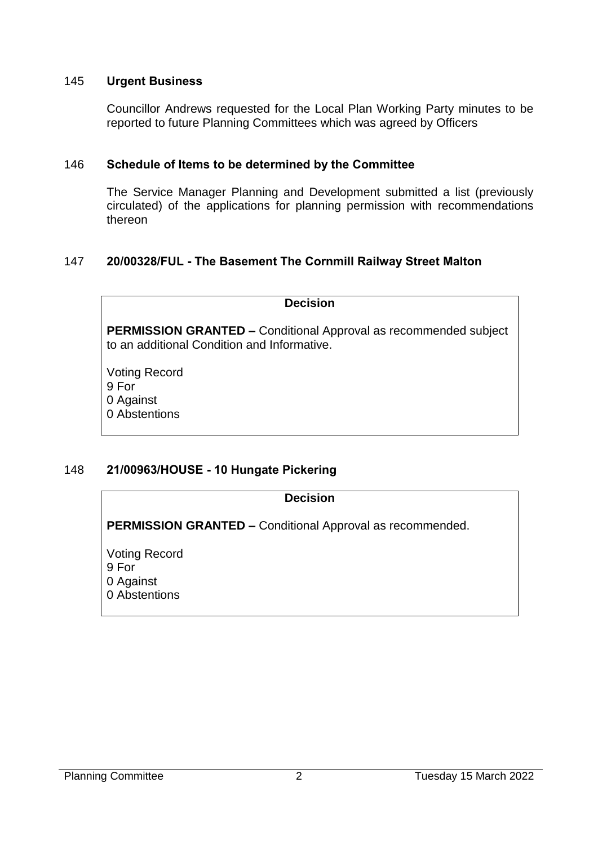# 145 **Urgent Business**

Councillor Andrews requested for the Local Plan Working Party minutes to be reported to future Planning Committees which was agreed by Officers

# 146 **Schedule of Items to be determined by the Committee**

The Service Manager Planning and Development submitted a list (previously circulated) of the applications for planning permission with recommendations thereon

# 147 **20/00328/FUL - The Basement The Cornmill Railway Street Malton**

### **Decision**

**PERMISSION GRANTED –** Conditional Approval as recommended subject to an additional Condition and Informative.

Voting Record 9 For 0 Against 0 Abstentions

# 148 **21/00963/HOUSE - 10 Hungate Pickering**

### **Decision**

**PERMISSION GRANTED –** Conditional Approval as recommended.

Voting Record 9 For 0 Against 0 Abstentions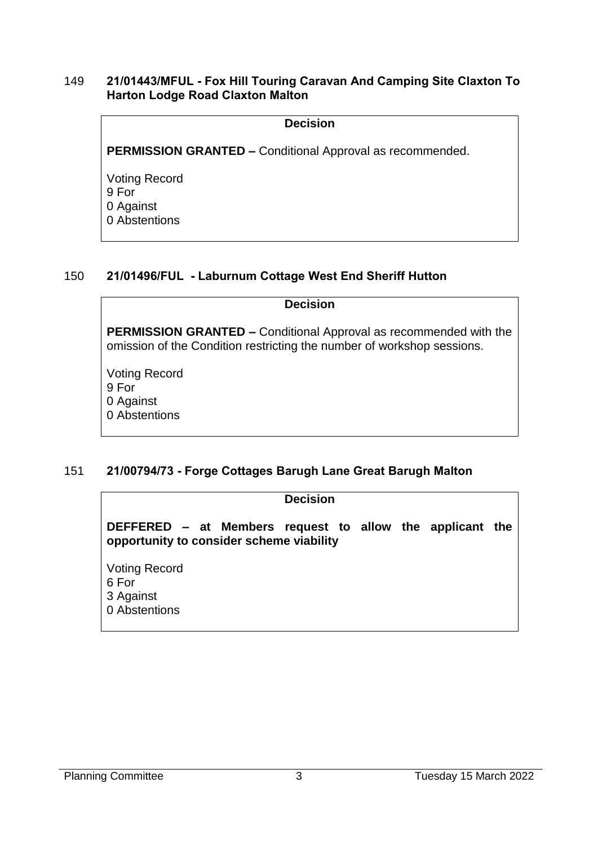### 149 **21/01443/MFUL - Fox Hill Touring Caravan And Camping Site Claxton To Harton Lodge Road Claxton Malton**

#### **Decision**

**PERMISSION GRANTED –** Conditional Approval as recommended.

Voting Record 9 For 0 Against 0 Abstentions

# 150 **21/01496/FUL - Laburnum Cottage West End Sheriff Hutton**

#### **Decision**

**PERMISSION GRANTED –** Conditional Approval as recommended with the omission of the Condition restricting the number of workshop sessions.

Voting Record 9 For 0 Against 0 Abstentions

# 151 **21/00794/73 - Forge Cottages Barugh Lane Great Barugh Malton**

#### **Decision**

**DEFFERED – at Members request to allow the applicant the opportunity to consider scheme viability**

Voting Record 6 For 3 Against 0 Abstentions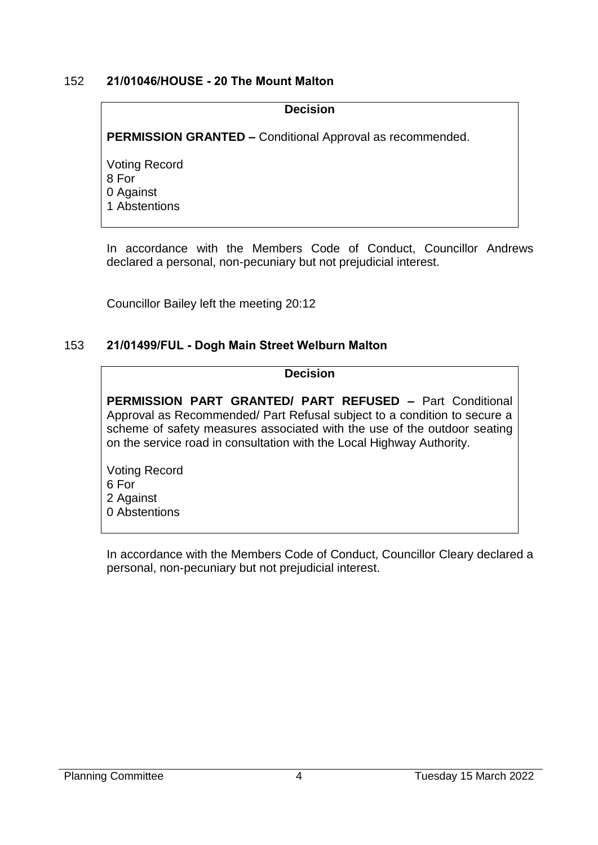# 152 **21/01046/HOUSE - 20 The Mount Malton**

#### **Decision**

**PERMISSION GRANTED –** Conditional Approval as recommended.

Voting Record 8 For 0 Against 1 Abstentions

In accordance with the Members Code of Conduct, Councillor Andrews declared a personal, non-pecuniary but not prejudicial interest.

Councillor Bailey left the meeting 20:12

# 153 **21/01499/FUL - Dogh Main Street Welburn Malton**

### **Decision**

**PERMISSION PART GRANTED/ PART REFUSED –** Part Conditional Approval as Recommended/ Part Refusal subject to a condition to secure a scheme of safety measures associated with the use of the outdoor seating on the service road in consultation with the Local Highway Authority.

Voting Record 6 For 2 Against 0 Abstentions

In accordance with the Members Code of Conduct, Councillor Cleary declared a personal, non-pecuniary but not prejudicial interest.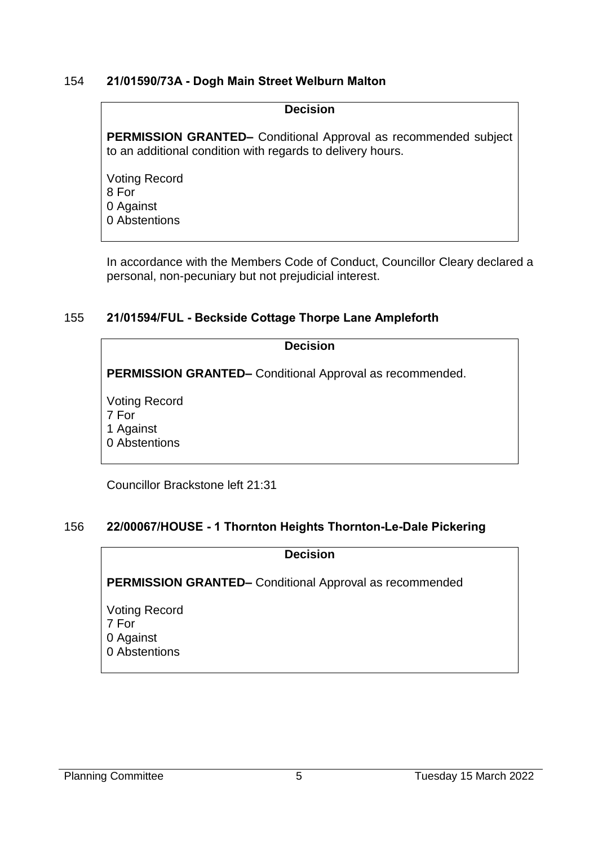### 154 **21/01590/73A - Dogh Main Street Welburn Malton**

#### **Decision**

**PERMISSION GRANTED–** Conditional Approval as recommended subject to an additional condition with regards to delivery hours.

Voting Record 8 For 0 Against 0 Abstentions

In accordance with the Members Code of Conduct, Councillor Cleary declared a personal, non-pecuniary but not prejudicial interest.

# 155 **21/01594/FUL - Beckside Cottage Thorpe Lane Ampleforth**

**Decision**

**PERMISSION GRANTED–** Conditional Approval as recommended.

Voting Record 7 For 1 Against 0 Abstentions

Councillor Brackstone left 21:31

# 156 **22/00067/HOUSE - 1 Thornton Heights Thornton-Le-Dale Pickering**

**Decision**

**PERMISSION GRANTED–** Conditional Approval as recommended

Voting Record 7 For 0 Against 0 Abstentions